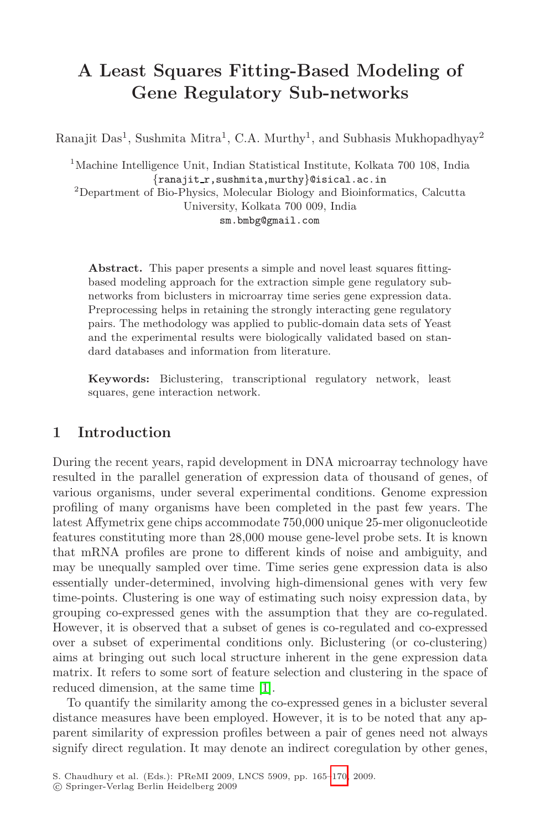## **A Least Squares Fitting-Based Modeling of Gene Regulatory Sub-networks**

Ranajit Das<sup>1</sup>, Sushmita Mitra<sup>1</sup>, C.A. Murthy<sup>1</sup>, and Subhasis Mukhopadhyay<sup>2</sup>

<sup>1</sup>Machine Intelligence Unit, Indian Statistical Institute, Kolkata 700 108, India *{*ranajit r,sushmita,murthy*}*@isical.ac.in <sup>2</sup>Department of Bio-Physics, Molecular Biology and Bioinformatics, Calcutta University, Kolkata 700 009, India

sm.bmbg@gmail.com

**Abstract.** This paper presents a simple and novel least squares fittingbased modeling approach for the extraction simple gene regulatory subnetworks from biclusters in microarray time series gene expression data. Preprocessing helps in retaining the strongly interacting gene regulatory pairs. The methodology was applied to public-domain data sets of Yeast and the experimental results were biologically validated based on standard databases and information from literature.

**Keywords:** Biclustering, transcriptional regulatory network, least squares, gene interaction network.

## **1 Introduction**

During the recent years, rapid development in DNA microarray technology have resulted in the parallel generation of expression data of thousand of genes, of various organisms, under several experimental conditions. Genome expression profiling of many organisms have been completed in the past few years. The latest Affymetrix gene chips accommodate 750,000 unique 25-mer oligonucleotide features constituting more than 28,000 mouse gene-level probe sets. It is known that mRNA profiles are prone to different kinds of noise and ambiguity, and may be unequally [sa](#page-5-0)mpled over time. Time series gene expression data is also essentially under-determined, involving high-dimensional genes with very few time-points. Clustering is one way of estimating such noisy expression data, by grouping co-expressed genes with the assumption that they are co-regulated. However, it is observed that a subset of genes is co-regulated and co-expressed over a subset of experimental conditions only. Biclustering (or co-clustering) aims at bringing out such local [str](#page-5-1)ucture inherent in the gene expression data matrix. It refers to some sort of feature selection and clustering in the space of reduced dimension, at the same time [1].

To quantify the similarity among the co-expressed genes in a bicluster several distance measures have been employed. However, it is to be noted that any apparent similarity of expression profiles between a pair of genes need not always signify direct regulation. It may denote an indirect coregulation by other genes,

S. Chaudhury et al. (Eds.): PReMI 2009, LNCS 5909, pp. 165–170, 2009.

<sup>-</sup>c Springer-Verlag Berlin Heidelberg 2009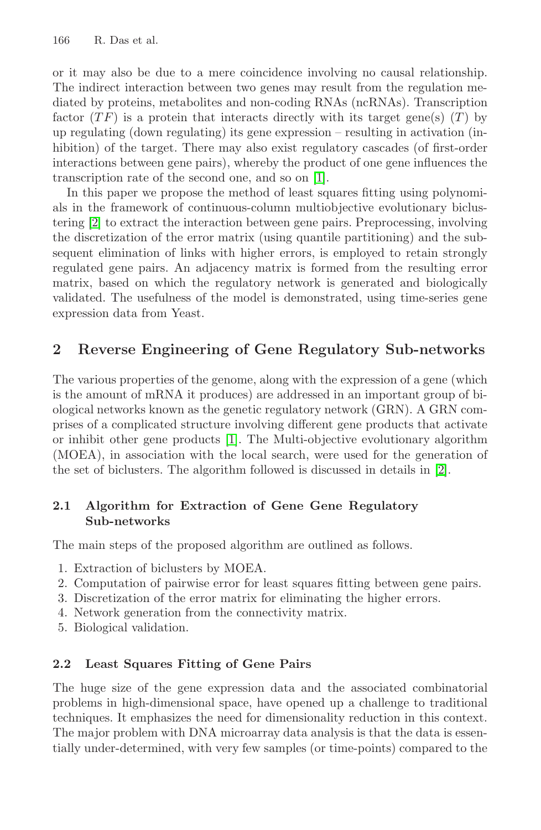166 R. Das et al.

or it may also be due to a [me](#page-5-0)re coincidence involving no causal relationship. The indirect interaction between two genes may result from the regulation mediated by proteins, metabolites and non-coding RNAs (ncRNAs). Transcription factor  $(TF)$  is a protein that interacts directly with its target gene(s)  $(T)$  by up regulating (down regulating) its gene expression – resulting in activation (inhibition) of the target. There may also exist regulatory cascades (of first-order interactions between gene pairs), whereby the product of one gene influences the transcription rate of the second one, and so on [1].

In this paper we propose the method of least squares fitting using polynomials in the framework of continuous-column multiobjective evolutionary biclustering [2] to extract the interaction between gene pairs. Preprocessing, involving the discretization of the error matrix (using quantile partitioning) and the subsequent elimination of links with higher errors, is employed to retain strongly regulated gene pairs. An adjacency matrix is formed from the resulting error matrix, based on which the regulatory network is generated and biologically validated. The usefulness of the model is demonstrated, using time-series gene expression d[ata](#page-5-0) from Yeast.

#### **2 Reverse Engineering of Gene Reg[ula](#page-5-2)tory Sub-networks**

The various properties of the genome, along with the expression of a gene (which is the amount of mRNA it produces) are addressed in an important group of biological networks known as the genetic regulatory network (GRN). A GRN comprises of a complicated structure involving different gene products that activate or inhibit other gene products [1]. The Multi-objective evolutionary algorithm (MOEA), in association with the local search, were used for the generation of the set of biclusters. The algorithm followed is discussed in details in [2].

# **2.1 Algorithm for Extraction of Gene Gene Regulatory**

The main steps of the proposed algorithm are outlined as follows.

- 1. Extraction of biclusters by MOEA.
- 2. Computation of pairwise error for least squares fitting between gene pairs.
- 3. Discretization of the error matrix for eliminating the higher errors.
- 4. Network generation from the connectivity matrix.
- 5. Biological validation.

#### $2.2$ **2.2 Least Squares Fitting of Gene Pairs**

The huge size of the gene expression data and the associated combinatorial problems in high-dimensional space, have opened up a challenge to traditional techniques. It emphasizes the need for dimensionality reduction in this context. The major problem with DNA microarray data analysis is that the data is essentially under-determined, with very few samples (or time-points) compared to the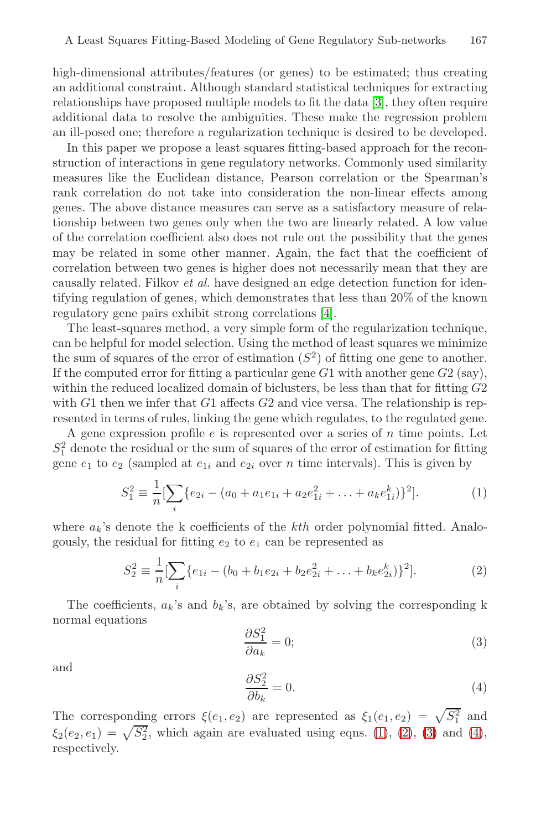high-dimensional attributes/features (or genes) to be estimated; thus creating an additional constraint. Although standard statistical techniques for extracting relationships have proposed multiple models to fit the data [3], they often require additional data to resolve the ambiguities. These make the regression problem an ill-posed one; therefore a regularization technique is desired to be developed.

In this paper we propose a least squares fitting-based approach for the reconstruction of interactions in gene regulatory networks. Commonly used similarity measures like the Euclidean distance, Pearson correlation or the Spearman's rank correlation do not take [in](#page-5-3)to consideration the non-linear effects among genes. The above distance measures can serve as a satisfactory measure of relationship between two genes only when the two are linearly related. A low value of the correlation coefficient also does not rule out the possibility that the genes may be related in some other manner. Again, the fact that the coefficient of correlation between two genes is higher does not necessarily mean that they are causally related. Filkov *et al.* have designed an edge detection function for identifying regulation of genes, which demonstrates that less than 20% of the known regulatory gene pairs exhibit strong correlations [4].

<span id="page-2-0"></span>The least-squares method, a very simple form of the regularization technique, can be helpful for model selection. Using the method of least squares we minimize the sum of squares of the error of estimation  $(S^2)$  of fitting one gene to another. If the computed error for fitting a particular gene  $G1$  with another gene  $G2$  (say), within the reduced localized domain of biclusters, be less than that for fitting  $G2$ with  $G1$  then we infer that  $G1$  affects  $G2$  and vice versa. The relationship is represented in terms of rules, linking the gene which regulates, to the regulated gene.

A gene expression profile  $e$  is represented over a series of  $n$  time points. Let  $S_1^2$  denote the residual or the sum of squares of the error of estimation for fitting gene  $e_1$  to  $e_2$  (sampled at  $e_{1i}$  and  $e_{2i}$  over n time intervals). This is given by

$$
S_1^2 \equiv \frac{1}{n} \left[ \sum_i \{ e_{2i} - (a_0 + a_1 e_{1i} + a_2 e_{1i}^2 + \dots + a_k e_{1i}^k) \}^2 \right].
$$
 (1)

where  $a_k$ 's denote the k coefficients of the  $kth$  order polynomial fitted. Analogously, the residual for fitting  $e_2$  to  $e_1$  can be represented as

$$
S_2^2 \equiv \frac{1}{n} \left[ \sum_i \{ e_{1i} - (b_0 + b_1 e_{2i} + b_2 e_{2i}^2 + \dots + b_k e_{2i}^k) \}^2 \right].
$$
 (2)

The coefficients,  $a_k$ 's and  $b_k$ 's, are obtained by solving the corresponding k normal equations

$$
\frac{\partial S_1^2}{\partial a_k} = 0;\t\t(3)
$$

and

$$
\frac{\partial S_2^2}{\partial b_k} = 0.\t\t(4)
$$

The corresponding errors  $\xi(e_1, e_2)$  are represented as  $\xi_1(e_1, e_2) = \sqrt{S_1^2}$  and  $\xi_2(e_2, e_1) = \sqrt{S_2^2}$ , which again are evaluated using eqns. (1), (2), (3) and (4), respectively.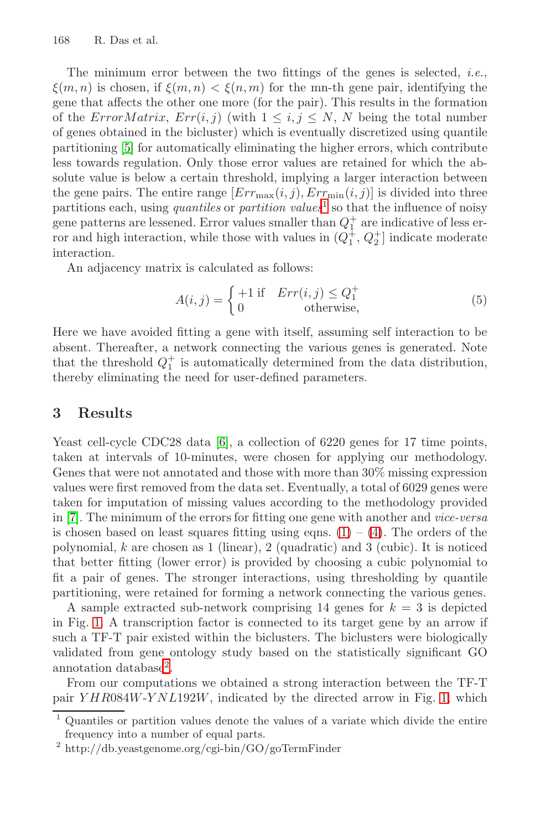168 R. Das et al.

The minimum error between the two fittings of the genes is selected, *i.e.*,  $\xi(m, n)$  is chosen, if  $\xi(m, n) < \xi(n, m)$  $\xi(m, n) < \xi(n, m)$  $\xi(m, n) < \xi(n, m)$  for the mn-th gene pair, identifying the gene that affects the other one more (for the pair). This results in the formation of the ErrorMatrix,  $Err(i, j)$  (with  $1 \leq i, j \leq N$ , N being the total number of genes obtained in the bicluster) which is eventually discretized using quantile partitioning [5] for automatically eliminating the higher errors, which contribute less towards regulation. Only those error values are retained for which the absolute value is below a certain threshold, implying a larger interaction between the gene pairs. The entire range  $[Err_{\text{max}}(i, j), Err_{\text{min}}(i, j)]$  is divided into three partitions each, using *quantiles* or *partition values*<sup>1</sup> so that the influence of noisy gene patterns are lessened. Error values smaller than  $Q_1^+$  are indicative of less error and high interaction, while those with values in  $(Q_1^{\pm}, Q_2^{\pm}]$  indicate moderate interaction.

An adjacency matrix is calculated as follows:

$$
A(i,j) = \begin{cases} +1 \text{ if } & \text{Err}(i,j) \le Q_1^+ \\ 0 & \text{otherwise,} \end{cases}
$$
 (5)

Here we h[ave](#page-5-4) avoided fitting a gene with itself, assuming self interaction to be absent. Thereafter, a network connecting the various genes is generated. Note that the threshold  $Q_1^+$  is automatically determined from the data distribution, thereby eliminating the need for user-defined parameters.

#### **3 Results**

Yeast cell-cycle CDC28 data [6], a collection of 6220 genes for 17 time points, taken at intervals of 10-minutes, were chosen for applying our methodology. Genes that were not annotated and those with more than 30% missing expression values were first removed from the data set. Eventually, a total of 6029 genes were taken for imputation of missing values according to the methodology provided in [7]. The minimum of the errors for fitting one gene with another and *vice-versa* is chosen based on least squares fitting using eqns.  $(1) - (4)$ . The orders of the p[o](#page-3-1)lynomial,  $k$  are chosen as 1 (linear), 2 (quadratic) and 3 (cubic). It is noticed that better fitting (lower error) is provided by choosing a cubic polynomial to fit a pair of genes. The stronger interactions, usi[ng](#page-4-0) thresholding by quantile partitioning, were retained for forming a network connecting the various genes.

<span id="page-3-0"></span>A sample extracted sub-network comprising 14 genes for  $k = 3$  is depicted in Fig. 1. A transcription factor is connected to its target gene by an arrow if such a TF-T pair existed within the biclusters. The biclusters were biologically validated from gene ontology study based on the statistically significant GO annotation database<sup>2</sup>.

<span id="page-3-1"></span>From our computations we obtained a strong interaction between the TF-T pair YHR084W-YNL192W, indicated by the directed arrow in Fig. 1, which

<sup>1</sup> Quantiles or partition values denote the values of a variate which divide the entire frequency into a number of equal parts.

<sup>2</sup> http://db.yeastgenome.org/cgi-bin/GO/goTermFinder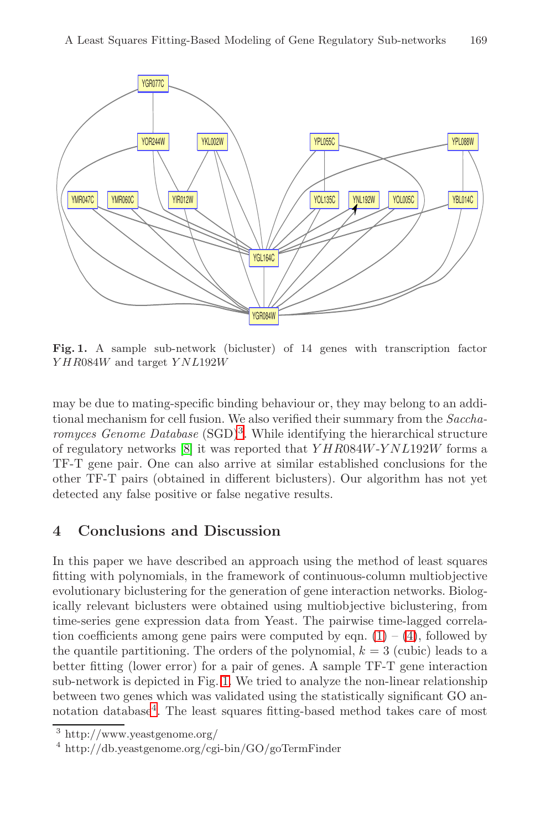



<span id="page-4-0"></span>Fig. 1. A sample sub-network (bicluster) of 14 genes with transcription factor *Y HR*084*W* and target *YNL*192*W*

may be due to mating-specific binding behaviour or, they may belong to an additional mechanism for cell fusion. We also verified their summary from the *Saccharomyces Genome Database* (SGD)<sup>3</sup>. While identifying the hierarchical structure of regulatory networks [8] it was reported that  $YHR084W-YNL192W$  forms a TF-T gene pair. One can also arrive at similar established conclusions for the other TF-T pairs (obtained in different biclusters). Our algorithm has not yet detected any false positive or false negative results.

### **4 Conclusions and Discussi[on](#page-2-0)**

<span id="page-4-1"></span>In this pap[er](#page-4-0) we have described an approach using the method of least squares fitting with polynomials, in the framework of continuous-column multiobjective [e](#page-4-1)volutionary biclustering for the generation of gene interaction networks. Biologically relevant biclusters were obtained using multiobjective biclustering, from time-series gene expression data from Yeast. The pairwise time-lagged correlation coefficients among gene pairs were computed by eqn.  $(1) - (4)$ , followed by the quantile partitioning. The orders of the polynomial,  $k = 3$  (cubic) leads to a better fitting (lower error) for a pair of genes. A sample TF-T gene interaction sub-network is depicted in Fig. 1. We tried to analyze the non-linear relationship between two genes which was validated using the statistically significant GO annotation database<sup>4</sup>. The least squares fitting-based method takes care of most

<sup>3</sup> http://www.yeastgenome.org/

<sup>4</sup> http://db.yeastgenome.org/cgi-bin/GO/goTermFinder